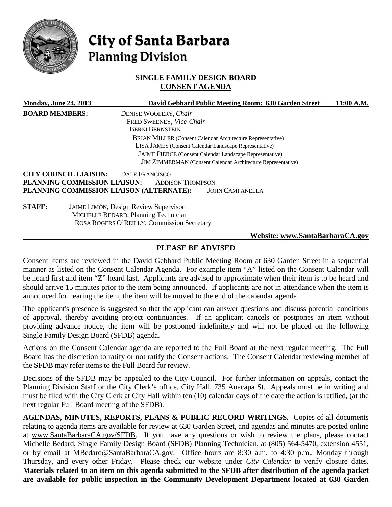

# City of Santa Barbara **Planning Division**

# **SINGLE FAMILY DESIGN BOARD CONSENT AGENDA**

|                                                                                                                    | <b>Monday, June 24, 2013</b> | David Gebhard Public Meeting Room: 630 Garden Street               | 11:00 A.M. |
|--------------------------------------------------------------------------------------------------------------------|------------------------------|--------------------------------------------------------------------|------------|
| <b>BOARD MEMBERS:</b>                                                                                              |                              | DENISE WOOLERY, Chair                                              |            |
|                                                                                                                    |                              | FRED SWEENEY, Vice-Chair                                           |            |
|                                                                                                                    |                              | <b>BERNI BERNSTEIN</b>                                             |            |
|                                                                                                                    |                              | <b>BRIAN MILLER</b> (Consent Calendar Architecture Representative) |            |
| LISA JAMES (Consent Calendar Landscape Representative)<br>JAIME PIERCE (Consent Calendar Landscape Representative) |                              |                                                                    |            |
|                                                                                                                    |                              |                                                                    |            |
|                                                                                                                    | <b>CITY COUNCIL LIAISON:</b> | <b>DALE FRANCISCO</b>                                              |            |
|                                                                                                                    | PLANNING COMMISSION LIAISON: | <b>ADDISON THOMPSON</b>                                            |            |
|                                                                                                                    |                              | PLANNING COMMISSION LIAISON (ALTERNATE):<br><b>JOHN CAMPANELLA</b> |            |
| <b>STAFF:</b>                                                                                                      |                              | JAIME LIMÓN, Design Review Supervisor                              |            |
|                                                                                                                    |                              | MICHELLE BEDARD, Planning Technician                               |            |
|                                                                                                                    |                              | ROSA ROGERS O'REILLY, Commission Secretary                         |            |
|                                                                                                                    |                              | Website: www.SantaBarbaraCA.gov                                    |            |

# **PLEASE BE ADVISED**

Consent Items are reviewed in the David Gebhard Public Meeting Room at 630 Garden Street in a sequential manner as listed on the Consent Calendar Agenda. For example item "A" listed on the Consent Calendar will be heard first and item "Z" heard last. Applicants are advised to approximate when their item is to be heard and should arrive 15 minutes prior to the item being announced. If applicants are not in attendance when the item is announced for hearing the item, the item will be moved to the end of the calendar agenda.

The applicant's presence is suggested so that the applicant can answer questions and discuss potential conditions of approval, thereby avoiding project continuances. If an applicant cancels or postpones an item without providing advance notice, the item will be postponed indefinitely and will not be placed on the following Single Family Design Board (SFDB) agenda.

Actions on the Consent Calendar agenda are reported to the Full Board at the next regular meeting. The Full Board has the discretion to ratify or not ratify the Consent actions. The Consent Calendar reviewing member of the SFDB may refer items to the Full Board for review.

Decisions of the SFDB may be appealed to the City Council. For further information on appeals, contact the Planning Division Staff or the City Clerk's office, City Hall, 735 Anacapa St. Appeals must be in writing and must be filed with the City Clerk at City Hall within ten (10) calendar days of the date the action is ratified, (at the next regular Full Board meeting of the SFDB).

**AGENDAS, MINUTES, REPORTS, PLANS & PUBLIC RECORD WRITINGS.** Copies of all documents relating to agenda items are available for review at 630 Garden Street, and agendas and minutes are posted online at [www.SantaBarbaraCA.gov/SFDB.](http://www.santabarbaraca.gov/ABR) If you have any questions or wish to review the plans, please contact Michelle Bedard, Single Family Design Board (SFDB) Planning Technician, at (805) 564-5470, extension 4551, or by email at [MBedard@SantaBarbaraCA.gov.](mailto:MBedard@SantaBarbaraCA.gov) Office hours are 8:30 a.m. to 4:30 p.m., Monday through Thursday, and every other Friday. Please check our website under *City Calendar* to verify closure dates. **Materials related to an item on this agenda submitted to the SFDB after distribution of the agenda packet are available for public inspection in the Community Development Department located at 630 Garden**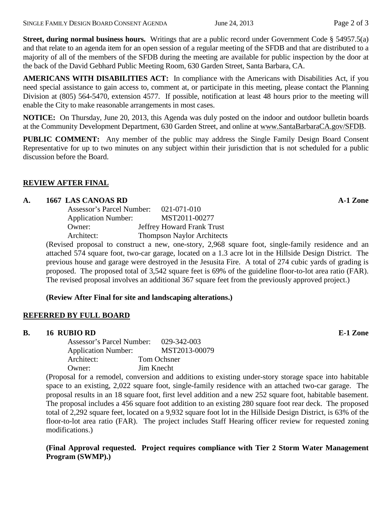**Street, during normal business hours.** Writings that are a public record under Government Code § 54957.5(a) and that relate to an agenda item for an open session of a regular meeting of the SFDB and that are distributed to a majority of all of the members of the SFDB during the meeting are available for public inspection by the door at the back of the David Gebhard Public Meeting Room, 630 Garden Street, Santa Barbara, CA.

**AMERICANS WITH DISABILITIES ACT:** In compliance with the Americans with Disabilities Act, if you need special assistance to gain access to, comment at, or participate in this meeting, please contact the Planning Division at (805) 564-5470, extension 4577. If possible, notification at least 48 hours prior to the meeting will enable the City to make reasonable arrangements in most cases.

**NOTICE:** On Thursday, June 20, 2013, this Agenda was duly posted on the indoor and outdoor bulletin boards at the Community Development Department, 630 Garden Street, and online at [www.SantaBarbaraCA.gov/SFDB.](http://www.santabarbaraca.gov/sfdb)

**PUBLIC COMMENT:** Any member of the public may address the Single Family Design Board Consent Representative for up to two minutes on any subject within their jurisdiction that is not scheduled for a public discussion before the Board.

## **REVIEW AFTER FINAL**

### **A. 1667 LAS CANOAS RD A-1 Zone**

| Assessor's Parcel Number:  | $021 - 071 - 010$                 |
|----------------------------|-----------------------------------|
| <b>Application Number:</b> | MST2011-00277                     |
| Owner:                     | Jeffrey Howard Frank Trust        |
| Architect:                 | <b>Thompson Naylor Architects</b> |
|                            |                                   |

(Revised proposal to construct a new, one-story, 2,968 square foot, single-family residence and an attached 574 square foot, two-car garage, located on a 1.3 acre lot in the Hillside Design District. The previous house and garage were destroyed in the Jesusita Fire. A total of 274 cubic yards of grading is proposed. The proposed total of 3,542 square feet is 69% of the guideline floor-to-lot area ratio (FAR). The revised proposal involves an additional 367 square feet from the previously approved project.)

# **(Review After Final for site and landscaping alterations.)**

### **REFERRED BY FULL BOARD**

**B. 16 RUBIO RD E-1 Zone**

| Assessor's Parcel Number:  | 029-342-003   |
|----------------------------|---------------|
| <b>Application Number:</b> | MST2013-00079 |
| Architect:                 | Tom Ochsner   |
| Owner:                     | Jim Knecht    |

(Proposal for a remodel, conversion and additions to existing under-story storage space into habitable space to an existing, 2,022 square foot, single-family residence with an attached two-car garage. The proposal results in an 18 square foot, first level addition and a new 252 square foot, habitable basement. The proposal includes a 456 square foot addition to an existing 280 square foot rear deck. The proposed total of 2,292 square feet, located on a 9,932 square foot lot in the Hillside Design District, is 63% of the floor-to-lot area ratio (FAR). The project includes Staff Hearing officer review for requested zoning modifications.)

**(Final Approval requested. Project requires compliance with Tier 2 Storm Water Management Program (SWMP).)**